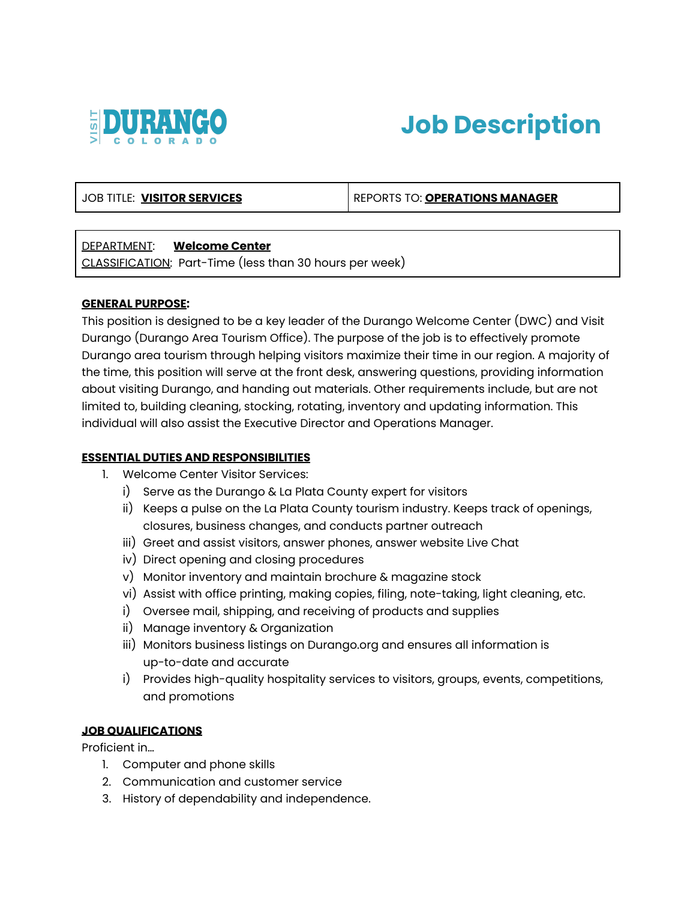



## JOB TITLE: **VISITOR SERVICES** REPORTS TO: **OPERATIONS MANAGER**

## DEPARTMENT: **Welcome Center**

CLASSIFICATION: Part-Time (less than 30 hours per week)

#### **GENERAL PURPOSE:**

This position is designed to be a key leader of the Durango Welcome Center (DWC) and Visit Durango (Durango Area Tourism Office). The purpose of the job is to effectively promote Durango area tourism through helping visitors maximize their time in our region. A majority of the time, this position will serve at the front desk, answering questions, providing information about visiting Durango, and handing out materials. Other requirements include, but are not limited to, building cleaning, stocking, rotating, inventory and updating information. This individual will also assist the Executive Director and Operations Manager.

#### **ESSENTIAL DUTIES AND RESPONSIBILITIES**

- 1. Welcome Center Visitor Services:
	- i) Serve as the Durango & La Plata County expert for visitors
	- ii) Keeps a pulse on the La Plata County tourism industry. Keeps track of openings, closures, business changes, and conducts partner outreach
	- iii) Greet and assist visitors, answer phones, answer website Live Chat
	- iv) Direct opening and closing procedures
	- v) Monitor inventory and maintain brochure & magazine stock
	- vi) Assist with office printing, making copies, filing, note-taking, light cleaning, etc.
	- i) Oversee mail, shipping, and receiving of products and supplies
	- ii) Manage inventory & Organization
	- iii) Monitors business listings on Durango.org and ensures all information is up-to-date and accurate
	- i) Provides high-quality hospitality services to visitors, groups, events, competitions, and promotions

#### **JOB QUALIFICATIONS**

Proficient in…

- 1. Computer and phone skills
- 2. Communication and customer service
- 3. History of dependability and independence.